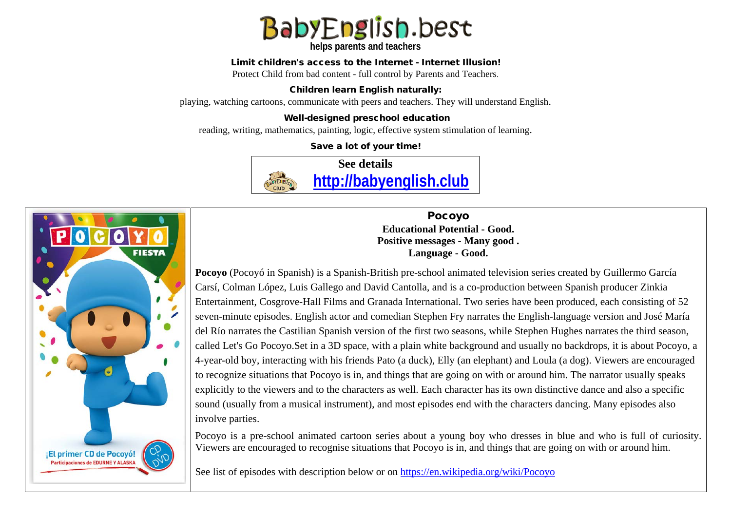

**helps parents and teachers** 

#### Limit children's access to the Internet - Internet Illusion!

Protect Child from bad content - full control by Parents and Teachers.

### Children learn English naturally:

playing, watching cartoons, communicate with peers and teachers. They will understand English.

### Well-designed preschool education

reading, writing, mathematics, painting, logic, effective system stimulation of learning.

Save a lot of your time!



**FIESTA** ¡El primer CD de Pocoyó! **Participaciones de EDURNE Y ALASK** 

Pocoyo **Educational Potential - Good. Positive messages - Many good . Language - Good.**

**Pocoyo** (Pocoyó in [Spanish\)](https://en.wikipedia.org/wiki/Spanish_language) is a [Spanish](https://en.wikipedia.org/wiki/Spain)[-British](https://en.wikipedia.org/wiki/United_Kingdom) [pre-school](https://en.wikipedia.org/wiki/Preschool_education) [animated television series](https://en.wikipedia.org/wiki/Animated_television_series) created by Guillermo García Carsí, Colman López, Luis Gallego and David Cantolla, and is a co-production between Spanish producer [Zinkia](https://en.wikipedia.org/wiki/Zinkia_Entertainment)  [Entertainment,](https://en.wikipedia.org/wiki/Zinkia_Entertainment) [Cosgrove-Hall Films](https://en.wikipedia.org/wiki/Cosgrove-Hall_Films) and [Granada International.](https://en.wikipedia.org/wiki/Granada_Productions) Two series have been produced, each consisting of 52 seven-minute episodes. [English](https://en.wikipedia.org/wiki/England) actor and comedian [Stephen Fry](https://en.wikipedia.org/wiki/Stephen_Fry) narrates the English-language version and José María del Río narrates the [Castilian Spanish](https://en.wikipedia.org/wiki/Castilian_Spanish) version of the first two seasons, while Stephen Hughes narrates the third season, called [Let's Go Pocoyo.](https://en.wikipedia.org/wiki/Let%27s_Go_Pocoyo)Set in a [3D space,](https://en.wikipedia.org/wiki/3D_computer_graphics) with a plain white background and usually no backdrops, it is about Pocoyo, a 4-year-old boy, interacting with his friends Pato (a [duck\)](https://en.wikipedia.org/wiki/Duck), Elly (an [elephant\)](https://en.wikipedia.org/wiki/Elephant) and Loula (a [dog\)](https://en.wikipedia.org/wiki/Dog). Viewers are encouraged to recognize situations that Pocoyo is in, and things that are going on with or around him. The narrator usually speaks explicitly to the viewers and to the characters as well. Each character has its own distinctive dance and also a specific sound (usually from a musical instrument), and most episodes end with the characters dancing. Many episodes also involve parties.

Pocoyo is a pre-school animated cartoon series about a young boy who dresses in blue and who is full of curiosity. Viewers are encouraged to recognise situations that Pocoyo is in, and things that are going on with or around him.

See list of episodes with description below or on<https://en.wikipedia.org/wiki/Pocoyo>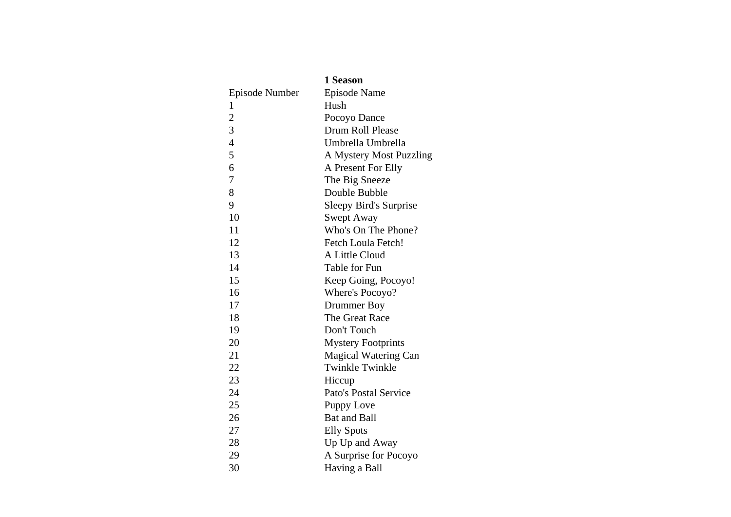|                | 1 Season                     |
|----------------|------------------------------|
| Episode Number | <b>Episode Name</b>          |
| 1              | Hush                         |
| $\overline{2}$ | Pocoyo Dance                 |
| 3              | Drum Roll Please             |
| $\overline{4}$ | Umbrella Umbrella            |
| 5              | A Mystery Most Puzzling      |
| 6              | A Present For Elly           |
| $\overline{7}$ | The Big Sneeze               |
| 8              | Double Bubble                |
| 9              | Sleepy Bird's Surprise       |
| 10             | Swept Away                   |
| 11             | Who's On The Phone?          |
| 12             | Fetch Loula Fetch!           |
| 13             | A Little Cloud               |
| 14             | Table for Fun                |
| 15             | Keep Going, Pocoyo!          |
| 16             | Where's Pocoyo?              |
| 17             | Drummer Boy                  |
| 18             | The Great Race               |
| 19             | Don't Touch                  |
| 20             | <b>Mystery Footprints</b>    |
| 21             | <b>Magical Watering Can</b>  |
| 22             | <b>Twinkle Twinkle</b>       |
| 23             | Hiccup                       |
| 24             | <b>Pato's Postal Service</b> |
| 25             | Puppy Love                   |
| 26             | <b>Bat and Ball</b>          |
| 27             | <b>Elly Spots</b>            |
| 28             | Up Up and Away               |
| 29             | A Surprise for Pocoyo        |
| 30             | Having a Ball                |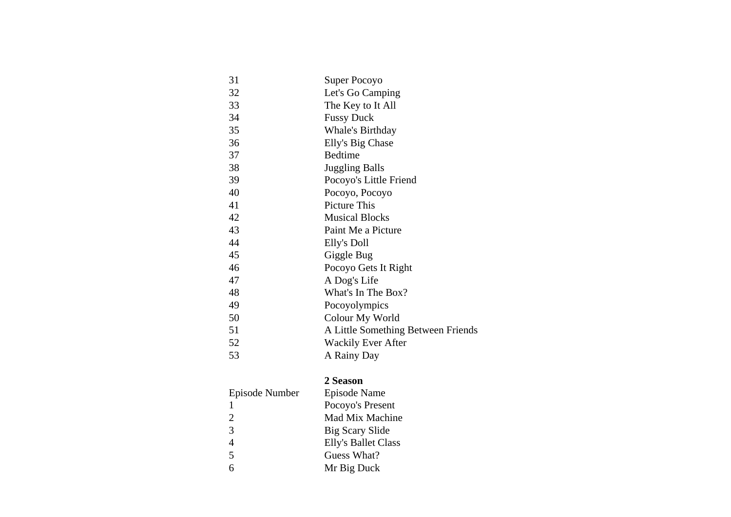| 31 | Super Pocoyo                       |
|----|------------------------------------|
|    |                                    |
| 32 | Let's Go Camping                   |
| 33 | The Key to It All                  |
| 34 | <b>Fussy Duck</b>                  |
| 35 | <b>Whale's Birthday</b>            |
| 36 | Elly's Big Chase                   |
| 37 | <b>Bedtime</b>                     |
| 38 | <b>Juggling Balls</b>              |
| 39 | Pocoyo's Little Friend             |
| 40 | Pocoyo, Pocoyo                     |
| 41 | Picture This                       |
| 42 | <b>Musical Blocks</b>              |
| 43 | Paint Me a Picture                 |
| 44 | Elly's Doll                        |
| 45 | Giggle Bug                         |
| 46 | Pocoyo Gets It Right               |
| 47 | A Dog's Life                       |
| 48 | What's In The Box?                 |
| 49 | Pocoyolympics                      |
| 50 | Colour My World                    |
| 51 | A Little Something Between Friends |
| 52 | <b>Wackily Ever After</b>          |
| 53 | A Rainy Day                        |
|    |                                    |

# **2 Season**

| Episode Number           | Episode Name        |
|--------------------------|---------------------|
|                          | Pocoyo's Present    |
| $\mathcal{D}_{\cdot}$    | Mad Mix Machine     |
| 3                        | Big Scary Slide     |
| 4                        | Elly's Ballet Class |
| $\overline{\phantom{0}}$ | Guess What?         |
| 6                        | Mr Big Duck         |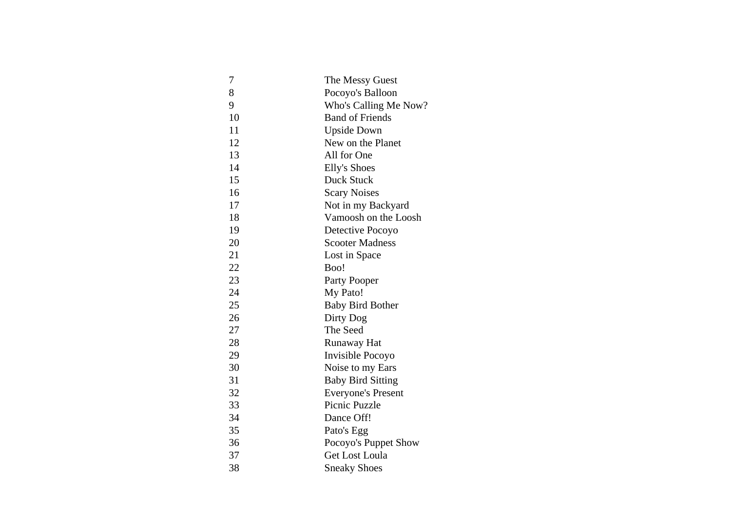| 7  | The Messy Guest           |
|----|---------------------------|
| 8  | Pocoyo's Balloon          |
| 9  | Who's Calling Me Now?     |
| 10 | <b>Band of Friends</b>    |
| 11 | <b>Upside Down</b>        |
| 12 | New on the Planet         |
| 13 | All for One               |
| 14 | <b>Elly's Shoes</b>       |
| 15 | Duck Stuck                |
| 16 | <b>Scary Noises</b>       |
| 17 | Not in my Backyard        |
| 18 | Vamoosh on the Loosh      |
| 19 | Detective Pocoyo          |
| 20 | <b>Scooter Madness</b>    |
| 21 | Lost in Space             |
| 22 | Boo!                      |
| 23 | Party Pooper              |
| 24 | My Pato!                  |
| 25 | <b>Baby Bird Bother</b>   |
| 26 | Dirty Dog                 |
| 27 | The Seed                  |
| 28 | Runaway Hat               |
| 29 | Invisible Pocoyo          |
| 30 | Noise to my Ears          |
| 31 | <b>Baby Bird Sitting</b>  |
| 32 | <b>Everyone's Present</b> |
| 33 | Picnic Puzzle             |
| 34 | Dance Off!                |
| 35 | Pato's Egg                |
| 36 | Pocoyo's Puppet Show      |
| 37 | <b>Get Lost Loula</b>     |
| 38 | <b>Sneaky Shoes</b>       |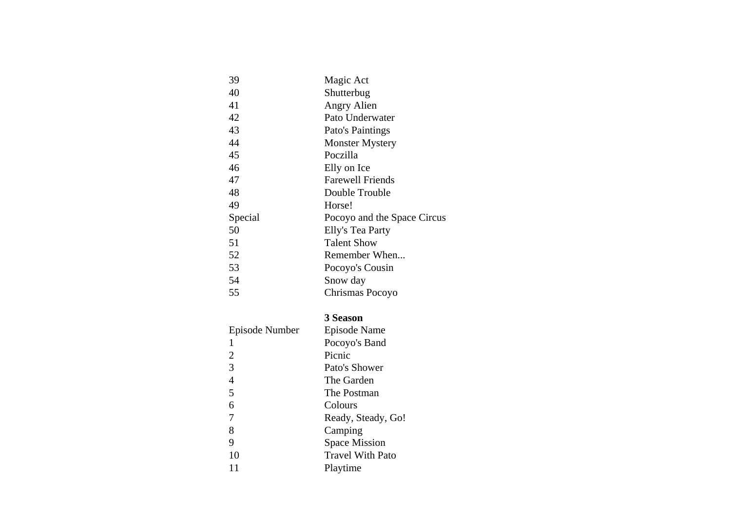| 39      | Magic Act                   |
|---------|-----------------------------|
| 40      | Shutterbug                  |
| 41      | Angry Alien                 |
| 42      | Pato Underwater             |
| 43      | Pato's Paintings            |
| 44      | <b>Monster Mystery</b>      |
| 45      | Poczilla                    |
| 46      | Elly on Ice                 |
| 47      | <b>Farewell Friends</b>     |
| 48      | Double Trouble              |
| 49      | Horse!                      |
| Special | Pocoyo and the Space Circus |
| 50      | Elly's Tea Party            |
| 51      | <b>Talent Show</b>          |
| 52      | Remember When               |
| 53      | Pocoyo's Cousin             |
| 54      | Snow day                    |
| 55      | Chrismas Pocoyo             |
|         |                             |

## **3 Season**

| Episode Number | Episode Name            |
|----------------|-------------------------|
| 1              | Pocoyo's Band           |
| 2              | Picnic                  |
| 3              | Pato's Shower           |
| 4              | The Garden              |
| 5              | The Postman             |
| 6              | Colours                 |
| 7              | Ready, Steady, Go!      |
| 8              | Camping                 |
| 9              | <b>Space Mission</b>    |
| 10             | <b>Travel With Pato</b> |
|                | Playtime                |
|                |                         |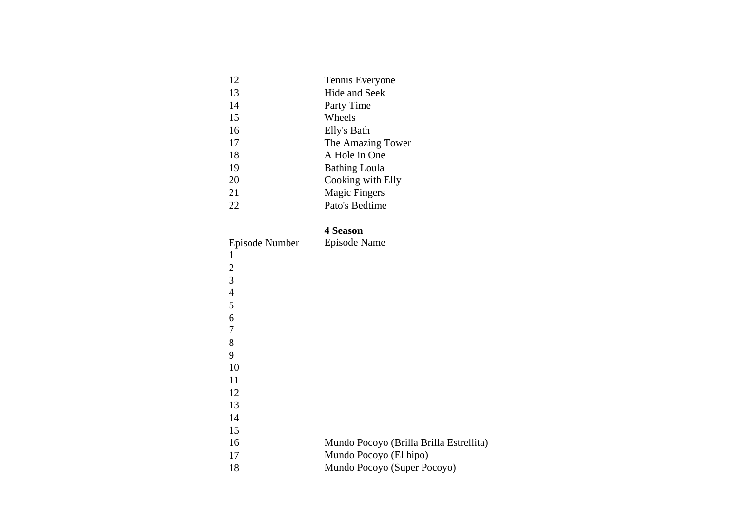| 12 | Tennis Everyone      |
|----|----------------------|
| 13 | Hide and Seek        |
| 14 | Party Time           |
| 15 | Wheels               |
| 16 | Elly's Bath          |
| 17 | The Amazing Tower    |
| 18 | A Hole in One        |
| 19 | <b>Bathing Loula</b> |
| 20 | Cooking with Elly    |
| 21 | <b>Magic Fingers</b> |
| 22 | Pato's Bedtime       |
|    |                      |

### **4 Season**

|                | 4 Season                                |
|----------------|-----------------------------------------|
| Episode Number | Episode Name                            |
| 1              |                                         |
| $\overline{2}$ |                                         |
| 3              |                                         |
| $\overline{4}$ |                                         |
| 5              |                                         |
| 6              |                                         |
| 7              |                                         |
| 8              |                                         |
| 9              |                                         |
| 10             |                                         |
| 11             |                                         |
| 12             |                                         |
| 13             |                                         |
| 14             |                                         |
| 15             |                                         |
| 16             | Mundo Pocoyo (Brilla Brilla Estrellita) |
| 17             | Mundo Pocoyo (El hipo)                  |
| 18             | Mundo Pocoyo (Super Pocoyo)             |
|                |                                         |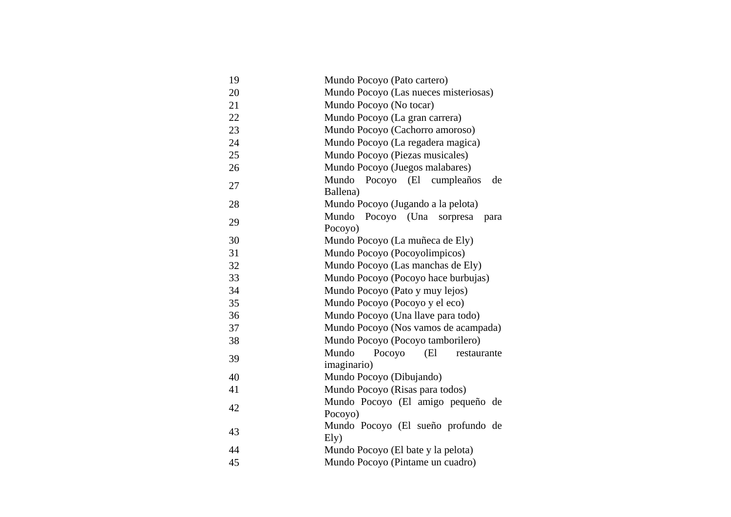| 19 | Mundo Pocoyo (Pato cartero)              |
|----|------------------------------------------|
| 20 | Mundo Pocoyo (Las nueces misteriosas)    |
| 21 | Mundo Pocoyo (No tocar)                  |
| 22 | Mundo Pocoyo (La gran carrera)           |
|    |                                          |
| 23 | Mundo Pocoyo (Cachorro amoroso)          |
| 24 | Mundo Pocoyo (La regadera magica)        |
| 25 | Mundo Pocoyo (Piezas musicales)          |
| 26 | Mundo Pocoyo (Juegos malabares)          |
| 27 | Mundo<br>Pocoyo<br>(El cumpleaños<br>de  |
|    | Ballena)                                 |
| 28 | Mundo Pocoyo (Jugando a la pelota)       |
| 29 | Mundo<br>Pocoyo (Una<br>sorpresa<br>para |
|    | Pocoyo)                                  |
| 30 | Mundo Pocoyo (La muñeca de Ely)          |
| 31 | Mundo Pocoyo (Pocoyolimpicos)            |
| 32 | Mundo Pocoyo (Las manchas de Ely)        |
| 33 | Mundo Pocoyo (Pocoyo hace burbujas)      |
| 34 | Mundo Pocoyo (Pato y muy lejos)          |
| 35 | Mundo Pocoyo (Pocoyo y el eco)           |
| 36 | Mundo Pocoyo (Una llave para todo)       |
| 37 | Mundo Pocoyo (Nos vamos de acampada)     |
| 38 | Mundo Pocoyo (Pocoyo tamborilero)        |
| 39 | Mundo<br>Pocoyo<br>(El<br>restaurante    |
|    | imaginario)                              |
| 40 | Mundo Pocoyo (Dibujando)                 |
| 41 | Mundo Pocoyo (Risas para todos)          |
| 42 | Mundo Pocoyo (El amigo pequeño de        |
|    | Pocoyo)                                  |
|    | Mundo Pocoyo (El sueño profundo de       |
| 43 | Ely)                                     |
| 44 | Mundo Pocoyo (El bate y la pelota)       |
| 45 | Mundo Pocoyo (Pintame un cuadro)         |